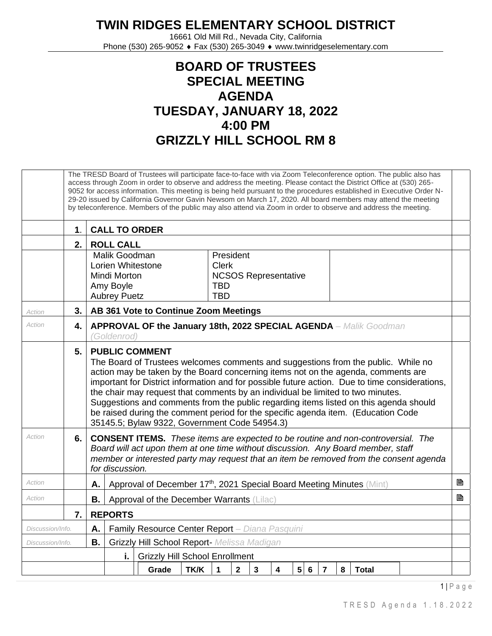## **TWIN RIDGES ELEMENTARY SCHOOL DISTRICT**

16661 Old Mill Rd., Nevada City, California Phone (530) 265-9052 ♦ Fax (530) 265-3049 ♦ www.twinridgeselementary.com

## **BOARD OF TRUSTEES SPECIAL MEETING AGENDA TUESDAY, JANUARY 18, 2022 4:00 PM GRIZZLY HILL SCHOOL RM 8**

|                        |     |                                                                                                                                                                                |                                                                                                                                                                                                                                                                                                                                                                                                                                                                                                                                                                                                                     |  |       | The TRESD Board of Trustees will participate face-to-face with via Zoom Teleconference option. The public also has<br>access through Zoom in order to observe and address the meeting. Please contact the District Office at (530) 265-<br>9052 for access information. This meeting is being held pursuant to the procedures established in Executive Order N-<br>29-20 issued by California Governor Gavin Newsom on March 17, 2020. All board members may attend the meeting<br>by teleconference. Members of the public may also attend via Zoom in order to observe and address the meeting. |              |              |              |   |                 |   |                |   |              |  |  |  |   |
|------------------------|-----|--------------------------------------------------------------------------------------------------------------------------------------------------------------------------------|---------------------------------------------------------------------------------------------------------------------------------------------------------------------------------------------------------------------------------------------------------------------------------------------------------------------------------------------------------------------------------------------------------------------------------------------------------------------------------------------------------------------------------------------------------------------------------------------------------------------|--|-------|---------------------------------------------------------------------------------------------------------------------------------------------------------------------------------------------------------------------------------------------------------------------------------------------------------------------------------------------------------------------------------------------------------------------------------------------------------------------------------------------------------------------------------------------------------------------------------------------------|--------------|--------------|--------------|---|-----------------|---|----------------|---|--------------|--|--|--|---|
|                        | 1.  |                                                                                                                                                                                | <b>CALL TO ORDER</b>                                                                                                                                                                                                                                                                                                                                                                                                                                                                                                                                                                                                |  |       |                                                                                                                                                                                                                                                                                                                                                                                                                                                                                                                                                                                                   |              |              |              |   |                 |   |                |   |              |  |  |  |   |
|                        | 2.1 |                                                                                                                                                                                | <b>ROLL CALL</b>                                                                                                                                                                                                                                                                                                                                                                                                                                                                                                                                                                                                    |  |       |                                                                                                                                                                                                                                                                                                                                                                                                                                                                                                                                                                                                   |              |              |              |   |                 |   |                |   |              |  |  |  |   |
|                        |     | Malik Goodman<br>President<br>Lorien Whitestone<br><b>Clerk</b><br><b>NCSOS Representative</b><br>Mindi Morton<br>Amy Boyle<br><b>TBD</b><br><b>TBD</b><br><b>Aubrey Puetz</b> |                                                                                                                                                                                                                                                                                                                                                                                                                                                                                                                                                                                                                     |  |       |                                                                                                                                                                                                                                                                                                                                                                                                                                                                                                                                                                                                   |              |              |              |   |                 |   |                |   |              |  |  |  |   |
| Action                 | 3.1 |                                                                                                                                                                                |                                                                                                                                                                                                                                                                                                                                                                                                                                                                                                                                                                                                                     |  |       | AB 361 Vote to Continue Zoom Meetings                                                                                                                                                                                                                                                                                                                                                                                                                                                                                                                                                             |              |              |              |   |                 |   |                |   |              |  |  |  |   |
| Action                 | 4.  |                                                                                                                                                                                | APPROVAL OF the January 18th, 2022 SPECIAL AGENDA - Malik Goodman<br>(Goldenrod)                                                                                                                                                                                                                                                                                                                                                                                                                                                                                                                                    |  |       |                                                                                                                                                                                                                                                                                                                                                                                                                                                                                                                                                                                                   |              |              |              |   |                 |   |                |   |              |  |  |  |   |
|                        | 5.  |                                                                                                                                                                                | <b>PUBLIC COMMENT</b><br>The Board of Trustees welcomes comments and suggestions from the public. While no<br>action may be taken by the Board concerning items not on the agenda, comments are<br>important for District information and for possible future action. Due to time considerations,<br>the chair may request that comments by an individual be limited to two minutes.<br>Suggestions and comments from the public regarding items listed on this agenda should<br>be raised during the comment period for the specific agenda item. (Education Code<br>35145.5; Bylaw 9322, Government Code 54954.3) |  |       |                                                                                                                                                                                                                                                                                                                                                                                                                                                                                                                                                                                                   |              |              |              |   |                 |   |                |   |              |  |  |  |   |
| Action                 | 6.  |                                                                                                                                                                                | <b>CONSENT ITEMS.</b> These items are expected to be routine and non-controversial. The<br>Board will act upon them at one time without discussion. Any Board member, staff<br>member or interested party may request that an item be removed from the consent agenda<br>for discussion.                                                                                                                                                                                                                                                                                                                            |  |       |                                                                                                                                                                                                                                                                                                                                                                                                                                                                                                                                                                                                   |              |              |              |   |                 |   |                |   |              |  |  |  |   |
| Action                 |     | Α.                                                                                                                                                                             |                                                                                                                                                                                                                                                                                                                                                                                                                                                                                                                                                                                                                     |  |       | Approval of December 17th, 2021 Special Board Meeting Minutes (Mint)                                                                                                                                                                                                                                                                                                                                                                                                                                                                                                                              |              |              |              |   |                 |   |                |   |              |  |  |  | P |
| Action                 |     | В.                                                                                                                                                                             |                                                                                                                                                                                                                                                                                                                                                                                                                                                                                                                                                                                                                     |  |       | Approval of the December Warrants (Lilac)                                                                                                                                                                                                                                                                                                                                                                                                                                                                                                                                                         |              |              |              |   |                 |   |                |   |              |  |  |  | B |
|                        | 7.1 |                                                                                                                                                                                | <b>REPORTS</b>                                                                                                                                                                                                                                                                                                                                                                                                                                                                                                                                                                                                      |  |       |                                                                                                                                                                                                                                                                                                                                                                                                                                                                                                                                                                                                   |              |              |              |   |                 |   |                |   |              |  |  |  |   |
| Discussion/Info.       |     | Α.                                                                                                                                                                             | Family Resource Center Report - Diana Pasquini                                                                                                                                                                                                                                                                                                                                                                                                                                                                                                                                                                      |  |       |                                                                                                                                                                                                                                                                                                                                                                                                                                                                                                                                                                                                   |              |              |              |   |                 |   |                |   |              |  |  |  |   |
| В.<br>Discussion/Info. |     |                                                                                                                                                                                | Grizzly Hill School Report- Melissa Madigan                                                                                                                                                                                                                                                                                                                                                                                                                                                                                                                                                                         |  |       |                                                                                                                                                                                                                                                                                                                                                                                                                                                                                                                                                                                                   |              |              |              |   |                 |   |                |   |              |  |  |  |   |
|                        |     |                                                                                                                                                                                | i.<br><b>Grizzly Hill School Enrollment</b>                                                                                                                                                                                                                                                                                                                                                                                                                                                                                                                                                                         |  |       |                                                                                                                                                                                                                                                                                                                                                                                                                                                                                                                                                                                                   |              |              |              |   |                 |   |                |   |              |  |  |  |   |
|                        |     |                                                                                                                                                                                |                                                                                                                                                                                                                                                                                                                                                                                                                                                                                                                                                                                                                     |  | Grade | TK/K                                                                                                                                                                                                                                                                                                                                                                                                                                                                                                                                                                                              | $\mathbf{1}$ | $\mathbf{2}$ | $\mathbf{3}$ | 4 | $5\phantom{.0}$ | 6 | $\overline{7}$ | 8 | <b>Total</b> |  |  |  |   |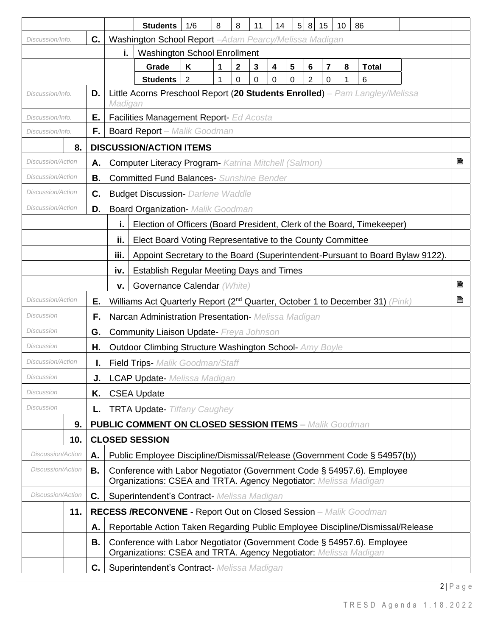|                          |                                                                                |    |                                                                                                                                            | <b>Students</b>                                                                        | 1/6 | 8 | 8            | 11 | 14 | 5 8 15 |   | 10 | 86           |   |   |  |
|--------------------------|--------------------------------------------------------------------------------|----|--------------------------------------------------------------------------------------------------------------------------------------------|----------------------------------------------------------------------------------------|-----|---|--------------|----|----|--------|---|----|--------------|---|---|--|
| Discussion/Info.         |                                                                                | C. |                                                                                                                                            | Washington School Report - Adam Pearcy/Melissa Madigan                                 |     |   |              |    |    |        |   |    |              |   |   |  |
|                          |                                                                                |    | <b>Washington School Enrollment</b><br>i.                                                                                                  |                                                                                        |     |   |              |    |    |        |   |    |              |   |   |  |
|                          |                                                                                |    |                                                                                                                                            | Grade                                                                                  | K   | 1 | $\mathbf{2}$ | 3  | 4  | 5<br>6 | 7 | 8  | <b>Total</b> |   |   |  |
|                          |                                                                                |    |                                                                                                                                            | <b>Students</b>                                                                        | 2   |   | 0            | 0  | 0  | 2<br>0 | 0 |    | 6            |   |   |  |
| Discussion/Info.         |                                                                                | D. |                                                                                                                                            | Little Acorns Preschool Report (20 Students Enrolled) - Pam Langley/Melissa<br>Madigan |     |   |              |    |    |        |   |    |              |   |   |  |
| Discussion/Info.         |                                                                                | Ε. |                                                                                                                                            | Facilities Management Report- Ed Acosta                                                |     |   |              |    |    |        |   |    |              |   |   |  |
| Discussion/Info.         |                                                                                | F. |                                                                                                                                            | <b>Board Report</b> - Malik Goodman                                                    |     |   |              |    |    |        |   |    |              |   |   |  |
|                          | 8.                                                                             |    |                                                                                                                                            | <b>DISCUSSION/ACTION ITEMS</b>                                                         |     |   |              |    |    |        |   |    |              |   |   |  |
| Discussion/Action        |                                                                                | А. |                                                                                                                                            | B<br><b>Computer Literacy Program- Katrina Mitchell (Salmon)</b>                       |     |   |              |    |    |        |   |    |              |   |   |  |
| <b>Discussion/Action</b> |                                                                                | В. | <b>Committed Fund Balances- Sunshine Bender</b>                                                                                            |                                                                                        |     |   |              |    |    |        |   |    |              |   |   |  |
| <b>Discussion/Action</b> |                                                                                | C. | <b>Budget Discussion- Darlene Waddle</b>                                                                                                   |                                                                                        |     |   |              |    |    |        |   |    |              |   |   |  |
| Discussion/Action        |                                                                                | D. |                                                                                                                                            | <b>Board Organization- Malik Goodman</b>                                               |     |   |              |    |    |        |   |    |              |   |   |  |
|                          | j,<br>Election of Officers (Board President, Clerk of the Board, Timekeeper)   |    |                                                                                                                                            |                                                                                        |     |   |              |    |    |        |   |    |              |   |   |  |
|                          |                                                                                |    | ii.                                                                                                                                        | Elect Board Voting Representative to the County Committee                              |     |   |              |    |    |        |   |    |              |   |   |  |
|                          |                                                                                |    | iii.                                                                                                                                       | Appoint Secretary to the Board (Superintendent-Pursuant to Board Bylaw 9122).          |     |   |              |    |    |        |   |    |              |   |   |  |
|                          |                                                                                |    | iv.                                                                                                                                        | <b>Establish Regular Meeting Days and Times</b>                                        |     |   |              |    |    |        |   |    |              |   |   |  |
|                          |                                                                                |    | v.                                                                                                                                         | Governance Calendar (White)                                                            |     |   |              |    |    |        |   |    |              |   | B |  |
| Discussion/Action<br>Е.  |                                                                                |    | Williams Act Quarterly Report (2 <sup>nd</sup> Quarter, October 1 to December 31) (Pink)                                                   |                                                                                        |     |   |              |    |    |        |   |    |              | B |   |  |
| Discussion               |                                                                                | F. |                                                                                                                                            | Narcan Administration Presentation- Melissa Madigan                                    |     |   |              |    |    |        |   |    |              |   |   |  |
| Discussion               |                                                                                | G. | <b>Community Liaison Update- Freya Johnson</b>                                                                                             |                                                                                        |     |   |              |    |    |        |   |    |              |   |   |  |
| <b>Discussion</b><br>Η.  |                                                                                |    | <b>Outdoor Climbing Structure Washington School- Amy Boyle</b>                                                                             |                                                                                        |     |   |              |    |    |        |   |    |              |   |   |  |
| Discussion/Action        |                                                                                |    | Field Trips- Malik Goodman/Staff                                                                                                           |                                                                                        |     |   |              |    |    |        |   |    |              |   |   |  |
| Discussion<br>J.         |                                                                                |    |                                                                                                                                            | <b>LCAP Update-</b> Melissa Madigan                                                    |     |   |              |    |    |        |   |    |              |   |   |  |
| Discussion               |                                                                                | Κ. |                                                                                                                                            | <b>CSEA Update</b>                                                                     |     |   |              |    |    |        |   |    |              |   |   |  |
| Discussion               |                                                                                | L. | <b>TRTA Update-</b> Tiffany Caughey                                                                                                        |                                                                                        |     |   |              |    |    |        |   |    |              |   |   |  |
|                          | 9.                                                                             |    | <b>PUBLIC COMMENT ON CLOSED SESSION ITEMS - Malik Goodman</b>                                                                              |                                                                                        |     |   |              |    |    |        |   |    |              |   |   |  |
|                          | 10.                                                                            |    | <b>CLOSED SESSION</b>                                                                                                                      |                                                                                        |     |   |              |    |    |        |   |    |              |   |   |  |
| Discussion/Action        |                                                                                | А. | Public Employee Discipline/Dismissal/Release (Government Code § 54957(b))                                                                  |                                                                                        |     |   |              |    |    |        |   |    |              |   |   |  |
| <b>Discussion/Action</b> |                                                                                | В. | Conference with Labor Negotiator (Government Code § 54957.6). Employee<br>Organizations: CSEA and TRTA. Agency Negotiator: Melissa Madigan |                                                                                        |     |   |              |    |    |        |   |    |              |   |   |  |
| <b>Discussion/Action</b> |                                                                                | C. |                                                                                                                                            | Superintendent's Contract- Melissa Madigan                                             |     |   |              |    |    |        |   |    |              |   |   |  |
|                          | 11.<br><b>RECESS /RECONVENE - Report Out on Closed Session</b> - Malik Goodman |    |                                                                                                                                            |                                                                                        |     |   |              |    |    |        |   |    |              |   |   |  |
|                          |                                                                                | Α. | Reportable Action Taken Regarding Public Employee Discipline/Dismissal/Release                                                             |                                                                                        |     |   |              |    |    |        |   |    |              |   |   |  |
|                          |                                                                                | В. | Conference with Labor Negotiator (Government Code § 54957.6). Employee<br>Organizations: CSEA and TRTA. Agency Negotiator: Melissa Madigan |                                                                                        |     |   |              |    |    |        |   |    |              |   |   |  |
|                          |                                                                                | C. |                                                                                                                                            | Superintendent's Contract- Melissa Madigan                                             |     |   |              |    |    |        |   |    |              |   |   |  |